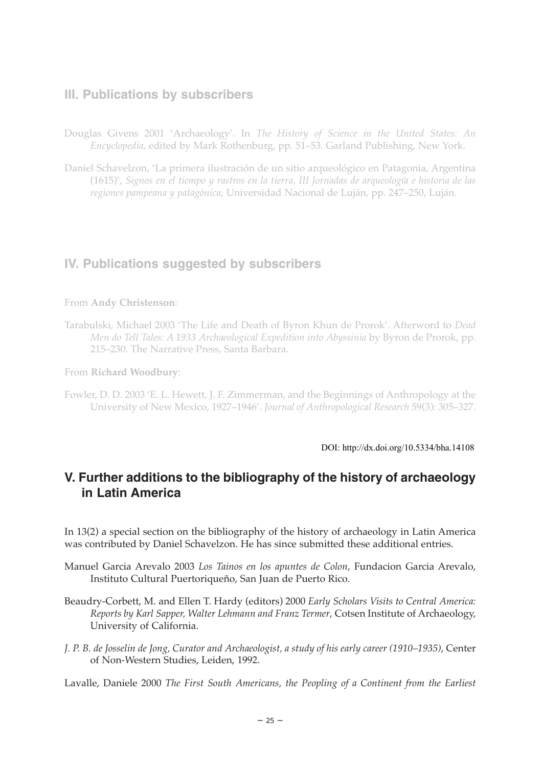### **III. Publications by subscribers**

- Douglas Givens 2001 'Archaeology'. In *The History of Science in the United States: An Encyclopedia*, edited by Mark Rothenburg, pp. 51–53. Garland Publishing, New York.
- Daniel Schavelzon, 'La primera ilustración de un sitio arqueológico en Patagonia, Argentina (1615)', *Signos en el tiempo y rastros en la tierra, III Jornadas de arqueología e historia de las regiones pampeana y patagónica*, Universidad Nacional de Luján, pp. 247–250, Luján.

# **IV. Publications suggested by subscribers**

#### From **Andy Christenson**:

Tarabulski, Michael 2003 'The Life and Death of Byron Khun de Prorok'. Afterword to *Dead Men do Tell Tales: A 1933 Archaeological Expedition into Abyssinia* by Byron de Prorok, pp. 215–230. The Narrative Press, Santa Barbara.

From **Richard Woodbury**:

Fowler, D. D. 2003 'E. L. Hewett, J. F. Zimmerman, and the Beginnings of Anthropology at the University of New Mexico, 1927–1946'. *Journal of Anthropological Research* 59(3): 305–327.

DOI: http://dx.doi.org/10.5334/bha.14108

# **V. Further additions to the bibliography of the history of archaeology in Latin America**

In 13(2) a special section on the bibliography of the history of archaeology in Latin America was contributed by Daniel Schavelzon. He has since submitted these additional entries.

- Manuel Garcia Arevalo 2003 *Los Tainos en los apuntes de Colon*, Fundacion Garcia Arevalo, Instituto Cultural Puertoriqueño, San Juan de Puerto Rico.
- Beaudry-Corbett, M. and Ellen T. Hardy (editors) 2000 *Early Scholars Visits to Central America: Reports by Karl Sapper, Walter Lehmann and Franz Termer*, Cotsen Institute of Archaeology, University of California.
- *J. P. B. de Josselin de Jong, Curator and Archaeologist, a study of his early career (1910–1935)*, Center of Non-Western Studies, Leiden, 1992.

Lavalle, Daniele 2000 *The First South Americans, the Peopling of a Continent from the Earliest*